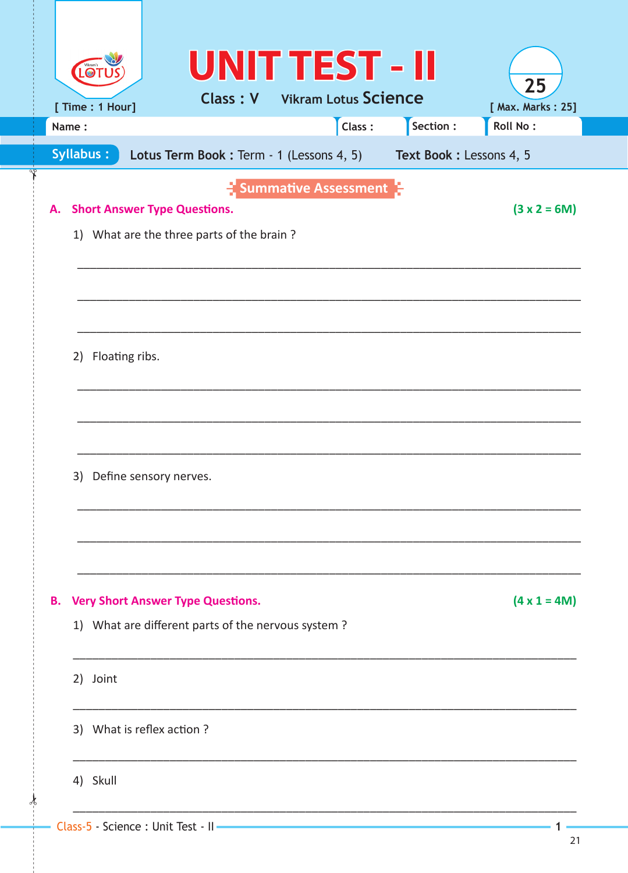|                  | [ Time : 1 Hour]                    | <b>UNIT TEST - II</b><br><b>Class: V</b> Vikram Lotus Science                                  |                                    |                         | 25<br>[ Max. Marks: 25] |
|------------------|-------------------------------------|------------------------------------------------------------------------------------------------|------------------------------------|-------------------------|-------------------------|
| Name:            |                                     |                                                                                                | Class:                             | Section :               | <b>Roll No:</b>         |
| <b>Syllabus:</b> |                                     | Lotus Term Book: Term - 1 (Lessons 4, 5)                                                       |                                    | Text Book: Lessons 4, 5 |                         |
| А.               | <b>Short Answer Type Questions.</b> | 1) What are the three parts of the brain?                                                      | $\frac{1}{2}$ Summative Assessment |                         | $(3 x 2 = 6M)$          |
| 2)               | Floating ribs.                      |                                                                                                |                                    |                         |                         |
| 3)               | Define sensory nerves.              |                                                                                                |                                    |                         |                         |
| В.               |                                     | <b>Very Short Answer Type Questions.</b><br>1) What are different parts of the nervous system? |                                    |                         | $(4 \times 1 = 4M)$     |
|                  | 2) Joint                            |                                                                                                |                                    |                         |                         |
|                  | 3) What is reflex action?           |                                                                                                |                                    |                         |                         |
|                  | 4) Skull                            |                                                                                                |                                    |                         |                         |
|                  |                                     |                                                                                                |                                    |                         |                         |

⊀